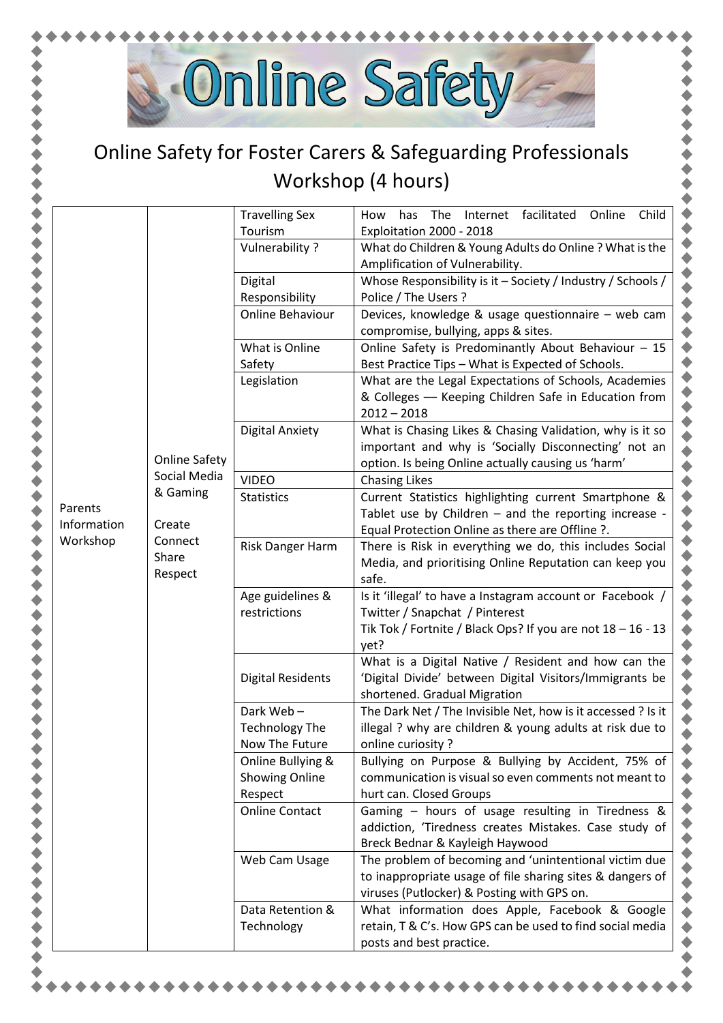

## Online Safety for Foster Carers & Safeguarding Professionals Workshop (4 hours)

|                        |                             | <b>Travelling Sex</b>                                 | Internet facilitated<br>The<br>Child<br>How<br>has                                                                                                                     |
|------------------------|-----------------------------|-------------------------------------------------------|------------------------------------------------------------------------------------------------------------------------------------------------------------------------|
|                        |                             | Tourism                                               | Online<br>Exploitation 2000 - 2018                                                                                                                                     |
|                        |                             | Vulnerability ?                                       | What do Children & Young Adults do Online ? What is the                                                                                                                |
|                        |                             |                                                       | Amplification of Vulnerability.                                                                                                                                        |
|                        |                             | Digital                                               | Whose Responsibility is it - Society / Industry / Schools /                                                                                                            |
|                        |                             | Responsibility                                        | Police / The Users ?                                                                                                                                                   |
|                        |                             | Online Behaviour                                      | Devices, knowledge & usage questionnaire - web cam<br>compromise, bullying, apps & sites.                                                                              |
|                        |                             | What is Online                                        | Online Safety is Predominantly About Behaviour - 15                                                                                                                    |
|                        |                             | Safety                                                | Best Practice Tips - What is Expected of Schools.                                                                                                                      |
|                        |                             | Legislation                                           | What are the Legal Expectations of Schools, Academies<br>& Colleges - Keeping Children Safe in Education from<br>$2012 - 2018$                                         |
|                        | <b>Online Safety</b>        | <b>Digital Anxiety</b>                                | What is Chasing Likes & Chasing Validation, why is it so<br>important and why is 'Socially Disconnecting' not an<br>option. Is being Online actually causing us 'harm' |
|                        | Social Media                | <b>VIDEO</b>                                          | <b>Chasing Likes</b>                                                                                                                                                   |
| Parents<br>Information | & Gaming<br>Create          | <b>Statistics</b>                                     | Current Statistics highlighting current Smartphone &<br>Tablet use by Children - and the reporting increase -<br>Equal Protection Online as there are Offline ?.       |
| Workshop               | Connect<br>Share<br>Respect | Risk Danger Harm                                      | There is Risk in everything we do, this includes Social<br>Media, and prioritising Online Reputation can keep you<br>safe.                                             |
|                        |                             | Age guidelines &<br>restrictions                      | Is it 'illegal' to have a Instagram account or Facebook /<br>Twitter / Snapchat / Pinterest                                                                            |
|                        |                             |                                                       | Tik Tok / Fortnite / Black Ops? If you are not $18 - 16 - 13$<br>yet?                                                                                                  |
|                        |                             | <b>Digital Residents</b>                              | What is a Digital Native / Resident and how can the<br>'Digital Divide' between Digital Visitors/Immigrants be<br>shortened. Gradual Migration                         |
|                        |                             | Dark Web-<br><b>Technology The</b><br>Now The Future  | The Dark Net / The Invisible Net, how is it accessed ? Is it<br>illegal ? why are children & young adults at risk due to<br>online curiosity?                          |
|                        |                             | Online Bullying &<br><b>Showing Online</b><br>Respect | Bullying on Purpose & Bullying by Accident, 75% of<br>communication is visual so even comments not meant to<br>hurt can. Closed Groups                                 |
|                        |                             | <b>Online Contact</b>                                 | Gaming - hours of usage resulting in Tiredness &<br>addiction, 'Tiredness creates Mistakes. Case study of<br>Breck Bednar & Kayleigh Haywood                           |
|                        |                             | Web Cam Usage                                         | The problem of becoming and 'unintentional victim due<br>to inappropriate usage of file sharing sites & dangers of<br>viruses (Putlocker) & Posting with GPS on.       |
|                        |                             | Data Retention &<br>Technology                        | What information does Apple, Facebook & Google<br>retain, T & C's. How GPS can be used to find social media<br>posts and best practice.                                |
|                        |                             |                                                       |                                                                                                                                                                        |